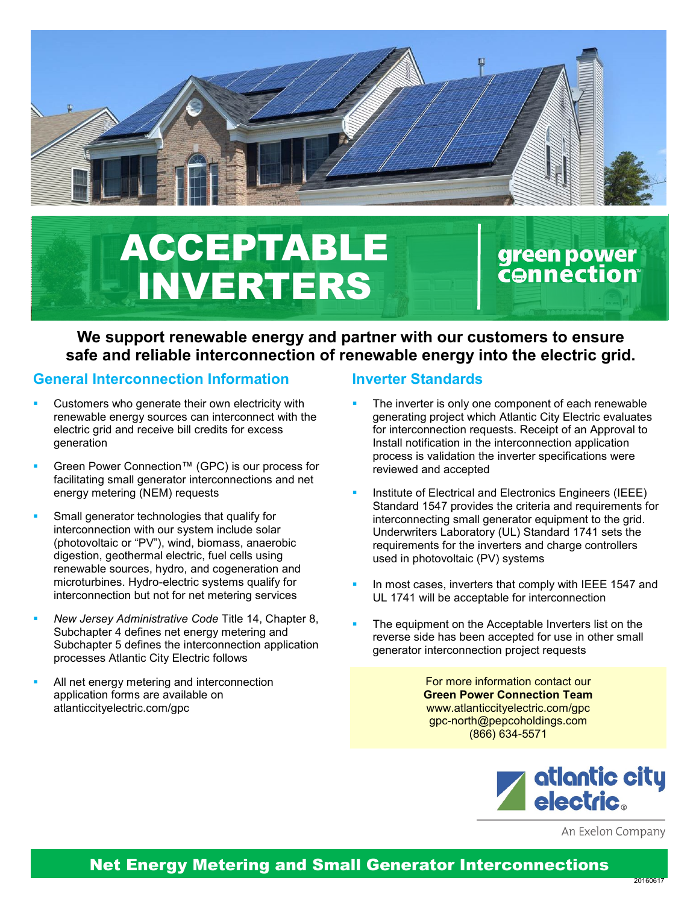

# ACCEPTABLE INVERTERS

# green power<br>c⊖nnection

## **We support renewable energy and partner with our customers to ensure safe and reliable interconnection of renewable energy into the electric grid.**

#### **General Interconnection Information**

- Customers who generate their own electricity with renewable energy sources can interconnect with the electric grid and receive bill credits for excess generation
- Green Power Connection™ (GPC) is our process for facilitating small generator interconnections and net energy metering (NEM) requests
- Small generator technologies that qualify for interconnection with our system include solar (photovoltaic or "PV"), wind, biomass, anaerobic digestion, geothermal electric, fuel cells using renewable sources, hydro, and cogeneration and microturbines. Hydro-electric systems qualify for interconnection but not for net metering services
- *New Jersey Administrative Code* Title 14, Chapter 8, Subchapter 4 defines net energy metering and Subchapter 5 defines the interconnection application processes Atlantic City Electric follows
- All net energy metering and interconnection application forms are available on atlanticcityelectric.com/gpc

#### **Inverter Standards**

- The inverter is only one component of each renewable generating project which Atlantic City Electric evaluates for interconnection requests. Receipt of an Approval to Install notification in the interconnection application process is validation the inverter specifications were reviewed and accepted
- Institute of Electrical and Electronics Engineers (IEEE) Standard 1547 provides the criteria and requirements for interconnecting small generator equipment to the grid. Underwriters Laboratory (UL) Standard 1741 sets the requirements for the inverters and charge controllers used in photovoltaic (PV) systems
- In most cases, inverters that comply with IEEE 1547 and UL 1741 will be acceptable for interconnection
- The equipment on the Acceptable Inverters list on the reverse side has been accepted for use in other small generator interconnection project requests

For more information contact our **Green Power Connection Team** www.atlanticcityelectric.com/gpc gpc-north@pepcoholdings.com (866) 634-5571



An Exelon Company

# Net Energy Metering and Small Generator Interconnections